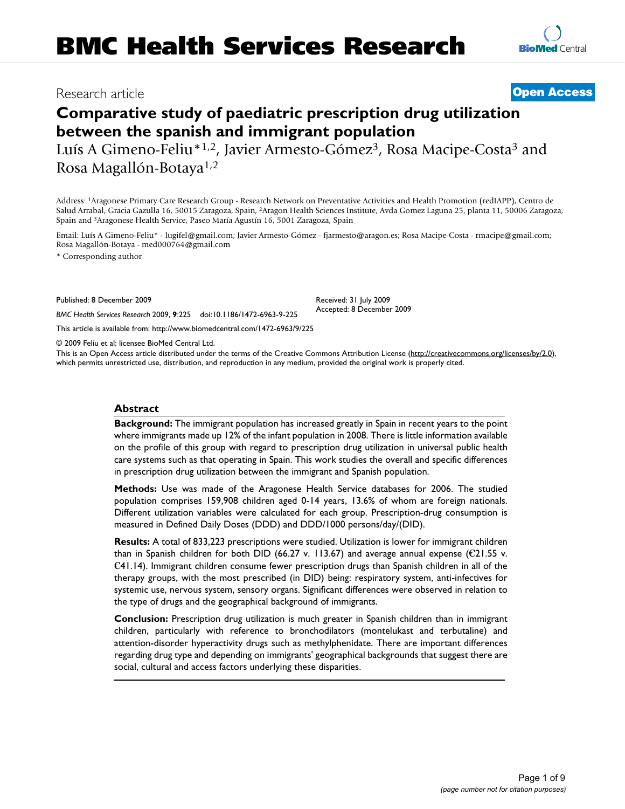# Research article **[Open Access](http://www.biomedcentral.com/info/about/charter/)**

# **Comparative study of paediatric prescription drug utilization between the spanish and immigrant population**

Luís A Gimeno-Feliu<sup>\*1,2</sup>, Javier Armesto-Gómez<sup>3</sup>, Rosa Macipe-Costa<sup>3</sup> and Rosa Magallón-Botaya1,2

Address: 1Aragonese Primary Care Research Group - Research Network on Preventative Activities and Health Promotion (redIAPP), Centro de Salud Arrabal, Gracia Gazulla 16, 50015 Zaragoza, Spain, 2Aragon Health Sciences Institute, Avda Gomez Laguna 25, planta 11, 50006 Zaragoza, Spain and 3Aragonese Health Service, Paseo María Agustín 16, 5001 Zaragoza, Spain

Email: Luís A Gimeno-Feliu\* - lugifel@gmail.com; Javier Armesto-Gómez - fjarmesto@aragon.es; Rosa Macipe-Costa - rmacipe@gmail.com; Rosa Magallón-Botaya - med000764@gmail.com

\* Corresponding author

Published: 8 December 2009

Received: 31 July 2009 Accepted: 8 December 2009

*BMC Health Services Research* 2009, **9**:225 doi:10.1186/1472-6963-9-225 [This article is available from: http://www.biomedcentral.com/1472-6963/9/225](http://www.biomedcentral.com/1472-6963/9/225)

© 2009 Feliu et al; licensee BioMed Central Ltd.

This is an Open Access article distributed under the terms of the Creative Commons Attribution License [\(http://creativecommons.org/licenses/by/2.0\)](http://creativecommons.org/licenses/by/2.0), which permits unrestricted use, distribution, and reproduction in any medium, provided the original work is properly cited.

#### **Abstract**

**Background:** The immigrant population has increased greatly in Spain in recent years to the point where immigrants made up 12% of the infant population in 2008. There is little information available on the profile of this group with regard to prescription drug utilization in universal public health care systems such as that operating in Spain. This work studies the overall and specific differences in prescription drug utilization between the immigrant and Spanish population.

**Methods:** Use was made of the Aragonese Health Service databases for 2006. The studied population comprises 159,908 children aged 0-14 years, 13.6% of whom are foreign nationals. Different utilization variables were calculated for each group. Prescription-drug consumption is measured in Defined Daily Doses (DDD) and DDD/1000 persons/day/(DID).

**Results:** A total of 833,223 prescriptions were studied. Utilization is lower for immigrant children than in Spanish children for both DID (66.27 v. 113.67) and average annual expense ( $\mathcal{C}21.55$  v. €41.14). Immigrant children consume fewer prescription drugs than Spanish children in all of the therapy groups, with the most prescribed (in DID) being: respiratory system, anti-infectives for systemic use, nervous system, sensory organs. Significant differences were observed in relation to the type of drugs and the geographical background of immigrants.

**Conclusion:** Prescription drug utilization is much greater in Spanish children than in immigrant children, particularly with reference to bronchodilators (montelukast and terbutaline) and attention-disorder hyperactivity drugs such as methylphenidate. There are important differences regarding drug type and depending on immigrants' geographical backgrounds that suggest there are social, cultural and access factors underlying these disparities.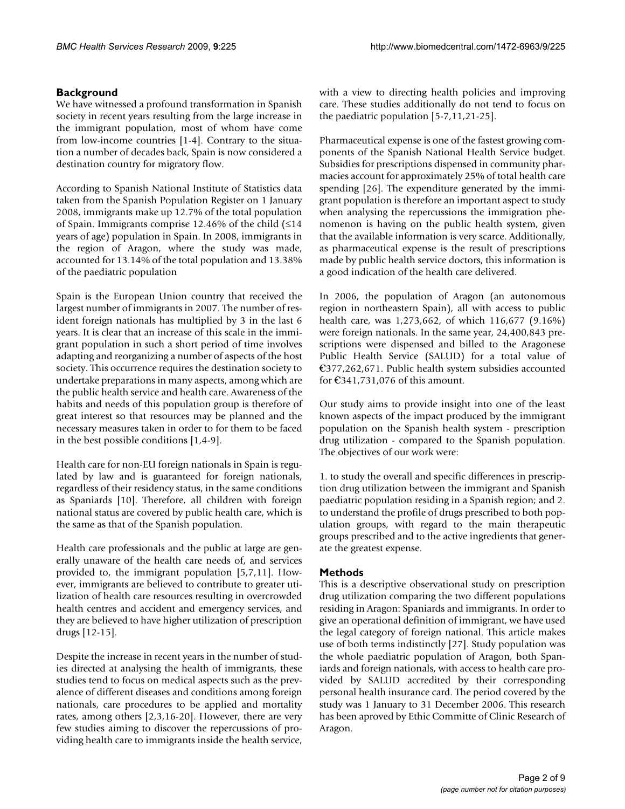# **Background**

We have witnessed a profound transformation in Spanish society in recent years resulting from the large increase in the immigrant population, most of whom have come from low-income countries [\[1-](#page-7-0)[4](#page-7-1)]. Contrary to the situation a number of decades back, Spain is now considered a destination country for migratory flow.

According to Spanish National Institute of Statistics data taken from the Spanish Population Register on 1 January 2008, immigrants make up 12.7% of the total population of Spain. Immigrants comprise 12.46% of the child (≤14 years of age) population in Spain. In 2008, immigrants in the region of Aragon, where the study was made, accounted for 13.14% of the total population and 13.38% of the paediatric population

Spain is the European Union country that received the largest number of immigrants in 2007. The number of resident foreign nationals has multiplied by 3 in the last 6 years. It is clear that an increase of this scale in the immigrant population in such a short period of time involves adapting and reorganizing a number of aspects of the host society. This occurrence requires the destination society to undertake preparations in many aspects, among which are the public health service and health care. Awareness of the habits and needs of this population group is therefore of great interest so that resources may be planned and the necessary measures taken in order to for them to be faced in the best possible conditions [[1](#page-7-0),[4](#page-7-1)[-9\]](#page-7-2).

Health care for non-EU foreign nationals in Spain is regulated by law and is guaranteed for foreign nationals, regardless of their residency status, in the same conditions as Spaniards [\[10\]](#page-7-3). Therefore, all children with foreign national status are covered by public health care, which is the same as that of the Spanish population.

Health care professionals and the public at large are generally unaware of the health care needs of, and services provided to, the immigrant population [\[5,](#page-7-4)[7,](#page-7-5)[11](#page-7-6)]. However, immigrants are believed to contribute to greater utilization of health care resources resulting in overcrowded health centres and accident and emergency services, and they are believed to have higher utilization of prescription drugs [\[12](#page-7-7)[-15\]](#page-7-8).

Despite the increase in recent years in the number of studies directed at analysing the health of immigrants, these studies tend to focus on medical aspects such as the prevalence of different diseases and conditions among foreign nationals, care procedures to be applied and mortality rates, among others [[2](#page-7-9)[,3](#page-7-10)[,16](#page-7-11)[-20](#page-7-12)]. However, there are very few studies aiming to discover the repercussions of providing health care to immigrants inside the health service,

with a view to directing health policies and improving care. These studies additionally do not tend to focus on the paediatric population [\[5-](#page-7-4)[7,](#page-7-5)[11](#page-7-6),[21-](#page-7-13)[25\]](#page-7-14).

Pharmaceutical expense is one of the fastest growing components of the Spanish National Health Service budget. Subsidies for prescriptions dispensed in community pharmacies account for approximately 25% of total health care spending [[26\]](#page-7-15). The expenditure generated by the immigrant population is therefore an important aspect to study when analysing the repercussions the immigration phenomenon is having on the public health system, given that the available information is very scarce. Additionally, as pharmaceutical expense is the result of prescriptions made by public health service doctors, this information is a good indication of the health care delivered.

In 2006, the population of Aragon (an autonomous region in northeastern Spain), all with access to public health care, was 1,273,662, of which 116,677 (9.16%) were foreign nationals. In the same year, 24,400,843 prescriptions were dispensed and billed to the Aragonese Public Health Service (SALUD) for a total value of €377,262,671. Public health system subsidies accounted for €341,731,076 of this amount.

Our study aims to provide insight into one of the least known aspects of the impact produced by the immigrant population on the Spanish health system - prescription drug utilization - compared to the Spanish population. The objectives of our work were:

1. to study the overall and specific differences in prescription drug utilization between the immigrant and Spanish paediatric population residing in a Spanish region; and 2. to understand the profile of drugs prescribed to both population groups, with regard to the main therapeutic groups prescribed and to the active ingredients that generate the greatest expense.

# **Methods**

This is a descriptive observational study on prescription drug utilization comparing the two different populations residing in Aragon: Spaniards and immigrants. In order to give an operational definition of immigrant, we have used the legal category of foreign national. This article makes use of both terms indistinctly [[27\]](#page-7-16). Study population was the whole paediatric population of Aragon, both Spaniards and foreign nationals, with access to health care provided by SALUD accredited by their corresponding personal health insurance card. The period covered by the study was 1 January to 31 December 2006. This research has been aproved by Ethic Committe of Clinic Research of Aragon.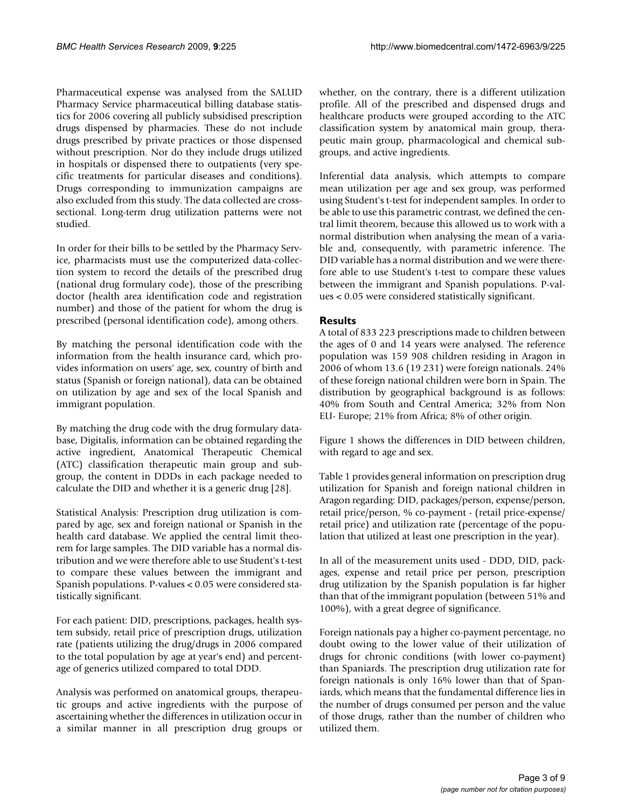Pharmaceutical expense was analysed from the SALUD Pharmacy Service pharmaceutical billing database statistics for 2006 covering all publicly subsidised prescription drugs dispensed by pharmacies. These do not include drugs prescribed by private practices or those dispensed without prescription. Nor do they include drugs utilized in hospitals or dispensed there to outpatients (very specific treatments for particular diseases and conditions). Drugs corresponding to immunization campaigns are also excluded from this study. The data collected are crosssectional. Long-term drug utilization patterns were not studied.

In order for their bills to be settled by the Pharmacy Service, pharmacists must use the computerized data-collection system to record the details of the prescribed drug (national drug formulary code), those of the prescribing doctor (health area identification code and registration number) and those of the patient for whom the drug is prescribed (personal identification code), among others.

By matching the personal identification code with the information from the health insurance card, which provides information on users' age, sex, country of birth and status (Spanish or foreign national), data can be obtained on utilization by age and sex of the local Spanish and immigrant population.

By matching the drug code with the drug formulary database, Digitalis, information can be obtained regarding the active ingredient, Anatomical Therapeutic Chemical (ATC) classification therapeutic main group and subgroup, the content in DDDs in each package needed to calculate the DID and whether it is a generic drug [[28\]](#page-7-17).

Statistical Analysis: Prescription drug utilization is compared by age, sex and foreign national or Spanish in the health card database. We applied the central limit theorem for large samples. The DID variable has a normal distribution and we were therefore able to use Student's t-test to compare these values between the immigrant and Spanish populations. P-values < 0.05 were considered statistically significant.

For each patient: DID, prescriptions, packages, health system subsidy, retail price of prescription drugs, utilization rate (patients utilizing the drug/drugs in 2006 compared to the total population by age at year's end) and percentage of generics utilized compared to total DDD.

Analysis was performed on anatomical groups, therapeutic groups and active ingredients with the purpose of ascertaining whether the differences in utilization occur in a similar manner in all prescription drug groups or whether, on the contrary, there is a different utilization profile. All of the prescribed and dispensed drugs and healthcare products were grouped according to the ATC classification system by anatomical main group, therapeutic main group, pharmacological and chemical subgroups, and active ingredients.

Inferential data analysis, which attempts to compare mean utilization per age and sex group, was performed using Student's t-test for independent samples. In order to be able to use this parametric contrast, we defined the central limit theorem, because this allowed us to work with a normal distribution when analysing the mean of a variable and, consequently, with parametric inference. The DID variable has a normal distribution and we were therefore able to use Student's t-test to compare these values between the immigrant and Spanish populations. P-values < 0.05 were considered statistically significant.

# **Results**

A total of 833 223 prescriptions made to children between the ages of 0 and 14 years were analysed. The reference population was 159 908 children residing in Aragon in 2006 of whom 13.6 (19 231) were foreign nationals. 24% of these foreign national children were born in Spain. The distribution by geographical background is as follows: 40% from South and Central America; 32% from Non EU- Europe; 21% from Africa; 8% of other origin.

Figure [1](#page-3-0) shows the differences in DID between children, with regard to age and sex.

Table [1](#page-3-1) provides general information on prescription drug utilization for Spanish and foreign national children in Aragon regarding: DID, packages/person, expense/person, retail price/person, % co-payment - (retail price-expense/ retail price) and utilization rate (percentage of the population that utilized at least one prescription in the year).

In all of the measurement units used - DDD, DID, packages, expense and retail price per person, prescription drug utilization by the Spanish population is far higher than that of the immigrant population (between 51% and 100%), with a great degree of significance.

Foreign nationals pay a higher co-payment percentage, no doubt owing to the lower value of their utilization of drugs for chronic conditions (with lower co-payment) than Spaniards. The prescription drug utilization rate for foreign nationals is only 16% lower than that of Spaniards, which means that the fundamental difference lies in the number of drugs consumed per person and the value of those drugs, rather than the number of children who utilized them.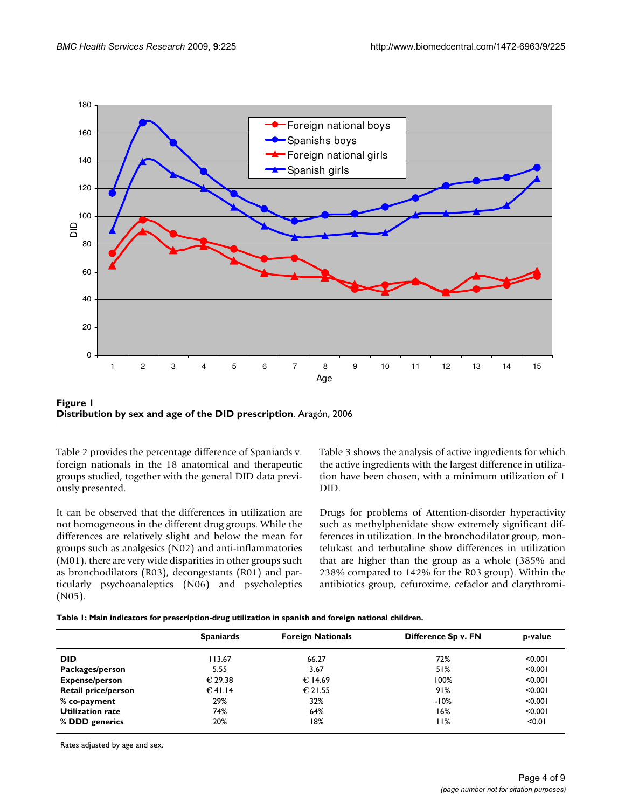<span id="page-3-0"></span>

**Distribution by sex and age of the DID prescription**. Aragón, 2006

Table [2](#page-4-0) provides the percentage difference of Spaniards v. foreign nationals in the 18 anatomical and therapeutic groups studied, together with the general DID data previously presented.

It can be observed that the differences in utilization are not homogeneous in the different drug groups. While the differences are relatively slight and below the mean for groups such as analgesics (N02) and anti-inflammatories (M01), there are very wide disparities in other groups such as bronchodilators (R03), decongestants (R01) and particularly psychoanaleptics (N06) and psycholeptics (N05).

Table [3](#page-4-1) shows the analysis of active ingredients for which the active ingredients with the largest difference in utilization have been chosen, with a minimum utilization of 1 DID.

Drugs for problems of Attention-disorder hyperactivity such as methylphenidate show extremely significant differences in utilization. In the bronchodilator group, montelukast and terbutaline show differences in utilization that are higher than the group as a whole (385% and 238% compared to 142% for the R03 group). Within the antibiotics group, cefuroxime, cefaclor and clarythromi-

<span id="page-3-1"></span>**Table 1: Main indicators for prescription-drug utilization in spanish and foreign national children.** 

|                            | <b>Spaniards</b> | <b>Foreign Nationals</b> | Difference Sp v. FN | p-value |
|----------------------------|------------------|--------------------------|---------------------|---------|
| <b>DID</b>                 | 113.67           | 66.27                    | 72%                 | < 0.001 |
| Packages/person            | 5.55             | 3.67                     | 51%                 | < 0.001 |
| <b>Expense/person</b>      | $\epsilon$ 29.38 | $\in$ 14.69              | 100%                | < 0.001 |
| <b>Retail price/person</b> | € 41.14          | € 21.55                  | 91%                 | < 0.001 |
| % co-payment               | 29%              | 32%                      | $-10%$              | < 0.001 |
| <b>Utilization rate</b>    | 74%              | 64%                      | 16%                 | < 0.001 |
| % DDD generics             | 20%              | 18%                      | I I %               | < 0.01  |

Rates adjusted by age and sex.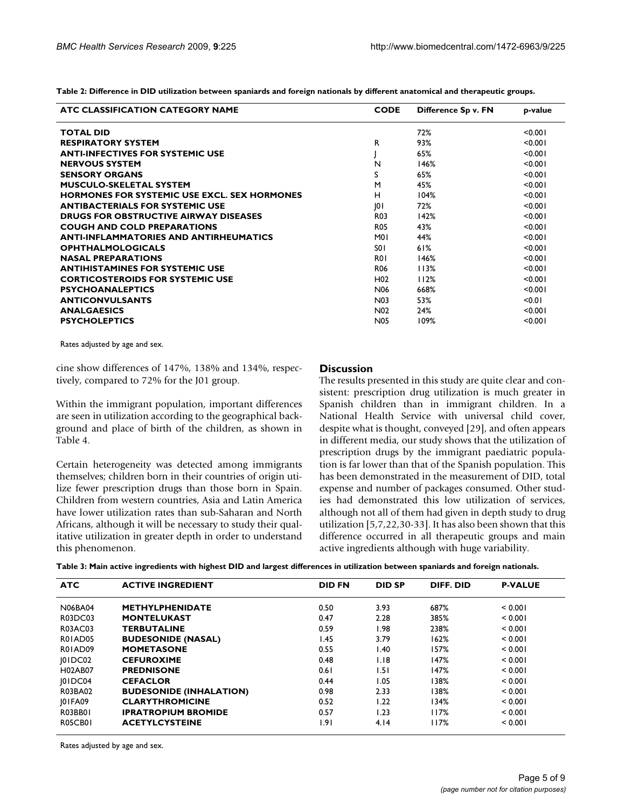<span id="page-4-0"></span>**Table 2: Difference in DID utilization between spaniards and foreign nationals by different anatomical and therapeutic groups.**

| ATC CLASSIFICATION CATEGORY NAME                    | <b>CODE</b>      | Difference Sp v. FN | p-value |
|-----------------------------------------------------|------------------|---------------------|---------|
| <b>TOTAL DID</b>                                    |                  | 72%                 | < 0.001 |
| <b>RESPIRATORY SYSTEM</b>                           | R                | 93%                 | < 0.001 |
| <b>ANTI-INFECTIVES FOR SYSTEMIC USE</b>             |                  | 65%                 | < 0.001 |
| <b>NERVOUS SYSTEM</b>                               | N                | 146%                | < 0.001 |
| <b>SENSORY ORGANS</b>                               | S                | 65%                 | < 0.001 |
| <b>MUSCULO-SKELETAL SYSTEM</b>                      | M                | 45%                 | < 0.001 |
| <b>HORMONES FOR SYSTEMIC USE EXCL. SEX HORMONES</b> | н                | 104%                | < 0.001 |
| <b>ANTIBACTERIALS FOR SYSTEMIC USE</b>              | 0                | 72%                 | < 0.001 |
| <b>DRUGS FOR OBSTRUCTIVE AIRWAY DISEASES</b>        | R <sub>0</sub> 3 | 142%                | < 0.001 |
| <b>COUGH AND COLD PREPARATIONS</b>                  | <b>R05</b>       | 43%                 | < 0.001 |
| <b>ANTI-INFLAMMATORIES AND ANTIRHEUMATICS</b>       | M <sub>0</sub>   | 44%                 | < 0.001 |
| <b>OPHTHALMOLOGICALS</b>                            | S <sub>0</sub>   | 61%                 | < 0.001 |
| <b>NASAL PREPARATIONS</b>                           | R <sub>0</sub>   | 146%                | < 0.001 |
| <b>ANTIHISTAMINES FOR SYSTEMIC USE</b>              | <b>R06</b>       | 113%                | < 0.001 |
| <b>CORTICOSTEROIDS FOR SYSTEMIC USE</b>             | H <sub>0</sub> 2 | 112%                | < 0.001 |
| <b>PSYCHOANALEPTICS</b>                             | <b>N06</b>       | 668%                | < 0.001 |
| <b>ANTICONVULSANTS</b>                              | N <sub>0</sub> 3 | 53%                 | < 0.01  |
| <b>ANALGAESICS</b>                                  | N <sub>0</sub> 2 | 24%                 | < 0.001 |
| <b>PSYCHOLEPTICS</b>                                | <b>N05</b>       | 109%                | < 0.001 |

Rates adjusted by age and sex.

cine show differences of 147%, 138% and 134%, respectively, compared to 72% for the J01 group.

Within the immigrant population, important differences are seen in utilization according to the geographical background and place of birth of the children, as shown in Table [4.](#page-5-0)

Certain heterogeneity was detected among immigrants themselves; children born in their countries of origin utilize fewer prescription drugs than those born in Spain. Children from western countries, Asia and Latin America have lower utilization rates than sub-Saharan and North Africans, although it will be necessary to study their qualitative utilization in greater depth in order to understand this phenomenon.

#### **Discussion**

The results presented in this study are quite clear and consistent: prescription drug utilization is much greater in Spanish children than in immigrant children. In a National Health Service with universal child cover, despite what is thought, conveyed [\[29](#page-7-18)], and often appears in different media, our study shows that the utilization of prescription drugs by the immigrant paediatric population is far lower than that of the Spanish population. This has been demonstrated in the measurement of DID, total expense and number of packages consumed. Other studies had demonstrated this low utilization of services, although not all of them had given in depth study to drug utilization [\[5,](#page-7-4)[7,](#page-7-5)[22](#page-7-19)[,30](#page-7-20)[-33](#page-7-21)]. It has also been shown that this difference occurred in all therapeutic groups and main active ingredients although with huge variability.

<span id="page-4-1"></span>

| Table 3: Main active ingredients with highest DID and largest differences in utilization between spaniards and foreign nationals. |  |  |
|-----------------------------------------------------------------------------------------------------------------------------------|--|--|
|-----------------------------------------------------------------------------------------------------------------------------------|--|--|

| <b>ATC</b>     | <b>ACTIVE INGREDIENT</b>       | <b>DID FN</b> | <b>DID SP</b> | DIFF, DID | <b>P-VALUE</b> |
|----------------|--------------------------------|---------------|---------------|-----------|----------------|
| <b>N06BA04</b> | <b>METHYLPHENIDATE</b>         | 0.50          | 3.93          | 687%      | < 0.001        |
| R03DC03        | <b>MONTELUKAST</b>             | 0.47          | 2.28          | 385%      | < 0.001        |
| <b>R03AC03</b> | <b>TERBUTALINE</b>             | 0.59          | 1.98          | 238%      | < 0.001        |
| R01AD05        | <b>BUDESONIDE (NASAL)</b>      | 1.45          | 3.79          | 162%      | < 0.001        |
| R01AD09        | <b>MOMETASONE</b>              | 0.55          | 40. ا         | 157%      | < 0.001        |
| <b>J01DC02</b> | <b>CEFUROXIME</b>              | 0.48          | 1.18          | 147%      | < 0.001        |
| H02AB07        | <b>PREDNISONE</b>              | 0.61          | 1.51          | 147%      | < 0.001        |
| <b>J01DC04</b> | <b>CEFACLOR</b>                | 0.44          | 1.05          | 138%      | < 0.001        |
| R03BA02        | <b>BUDESONIDE (INHALATION)</b> | 0.98          | 2.33          | 138%      | < 0.001        |
| <b>JOIFA09</b> | <b>CLARYTHROMICINE</b>         | 0.52          | 1.22          | 134%      | < 0.001        |
| R03BB01        | <b>IPRATROPIUM BROMIDE</b>     | 0.57          | 1.23          | 117%      | < 0.001        |
| <b>R05CB01</b> | <b>ACETYLCYSTEINE</b>          | 1.91          | 4.14          | 117%      | < 0.001        |

Rates adjusted by age and sex.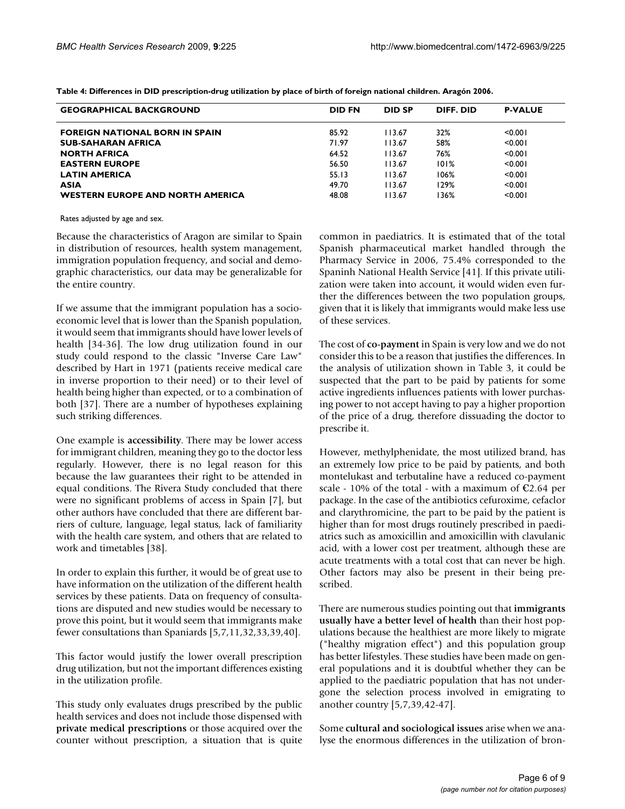| <b>GEOGRAPHICAL BACKGROUND</b>          | <b>DID FN</b> | <b>DID SP</b> | DIFF. DID | <b>P-VALUE</b> |
|-----------------------------------------|---------------|---------------|-----------|----------------|
| <b>FOREIGN NATIONAL BORN IN SPAIN</b>   | 85.92         | 113.67        | 32%       | < 0.001        |
| <b>SUB-SAHARAN AFRICA</b>               | 71.97         | 113.67        | 58%       | < 0.001        |
| <b>NORTH AFRICA</b>                     | 64.52         | 113.67        | 76%       | < 0.001        |
| <b>EASTERN EUROPE</b>                   | 56.50         | 113.67        | 101%      | < 0.001        |
| <b>LATIN AMERICA</b>                    | 55.13         | 113.67        | 106%      | < 0.001        |
| <b>ASIA</b>                             | 49.70         | 113.67        | 129%      | < 0.001        |
| <b>WESTERN EUROPE AND NORTH AMERICA</b> | 48.08         | 113.67        | 136%      | < 0.001        |

<span id="page-5-0"></span>**Table 4: Differences in DID prescription-drug utilization by place of birth of foreign national children. Aragón 2006.**

Rates adjusted by age and sex.

Because the characteristics of Aragon are similar to Spain in distribution of resources, health system management, immigration population frequency, and social and demographic characteristics, our data may be generalizable for the entire country.

If we assume that the immigrant population has a socioeconomic level that is lower than the Spanish population, it would seem that immigrants should have lower levels of health [[34-](#page-7-22)[36\]](#page-7-23). The low drug utilization found in our study could respond to the classic "Inverse Care Law" described by Hart in 1971 (patients receive medical care in inverse proportion to their need) or to their level of health being higher than expected, or to a combination of both [[37\]](#page-7-24). There are a number of hypotheses explaining such striking differences.

One example is **accessibility**. There may be lower access for immigrant children, meaning they go to the doctor less regularly. However, there is no legal reason for this because the law guarantees their right to be attended in equal conditions. The Rivera Study concluded that there were no significant problems of access in Spain [\[7](#page-7-5)], but other authors have concluded that there are different barriers of culture, language, legal status, lack of familiarity with the health care system, and others that are related to work and timetables [\[38\]](#page-7-25).

In order to explain this further, it would be of great use to have information on the utilization of the different health services by these patients. Data on frequency of consultations are disputed and new studies would be necessary to prove this point, but it would seem that immigrants make fewer consultations than Spaniards [[5](#page-7-4)[,7](#page-7-5)[,11](#page-7-6),[32,](#page-7-26)[33](#page-7-21)[,39](#page-7-27),[40\]](#page-7-28).

This factor would justify the lower overall prescription drug utilization, but not the important differences existing in the utilization profile.

This study only evaluates drugs prescribed by the public health services and does not include those dispensed with **private medical prescriptions** or those acquired over the counter without prescription, a situation that is quite

common in paediatrics. It is estimated that of the total Spanish pharmaceutical market handled through the Pharmacy Service in 2006, 75.4% corresponded to the Spaninh National Health Service [\[41](#page-7-29)]. If this private utilization were taken into account, it would widen even further the differences between the two population groups, given that it is likely that immigrants would make less use of these services.

The cost of **co-payment** in Spain is very low and we do not consider this to be a reason that justifies the differences. In the analysis of utilization shown in Table [3](#page-4-1), it could be suspected that the part to be paid by patients for some active ingredients influences patients with lower purchasing power to not accept having to pay a higher proportion of the price of a drug, therefore dissuading the doctor to prescribe it.

However, methylphenidate, the most utilized brand, has an extremely low price to be paid by patients, and both montelukast and terbutaline have a reduced co-payment scale - 10% of the total - with a maximum of  $E$ 2.64 per package. In the case of the antibiotics cefuroxime, cefaclor and clarythromicine, the part to be paid by the patient is higher than for most drugs routinely prescribed in paediatrics such as amoxicillin and amoxicillin with clavulanic acid, with a lower cost per treatment, although these are acute treatments with a total cost that can never be high. Other factors may also be present in their being prescribed.

There are numerous studies pointing out that **immigrants usually have a better level of health** than their host populations because the healthiest are more likely to migrate ("healthy migration effect") and this population group has better lifestyles. These studies have been made on general populations and it is doubtful whether they can be applied to the paediatric population that has not undergone the selection process involved in emigrating to another country [[5](#page-7-4),[7](#page-7-5),[39](#page-7-27),[42-](#page-7-30)[47\]](#page-8-0).

Some **cultural and sociological issues** arise when we analyse the enormous differences in the utilization of bron-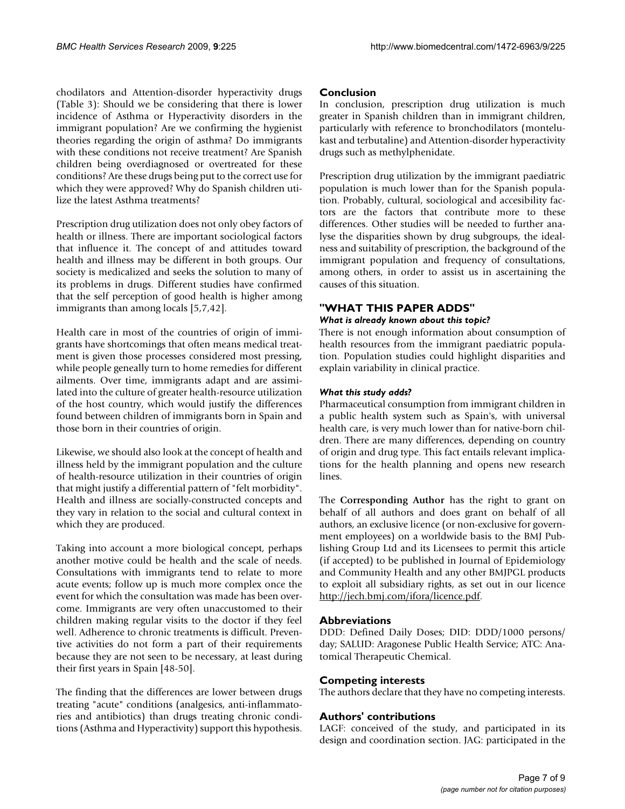chodilators and Attention-disorder hyperactivity drugs (Table [3](#page-4-1)): Should we be considering that there is lower incidence of Asthma or Hyperactivity disorders in the immigrant population? Are we confirming the hygienist theories regarding the origin of asthma? Do immigrants with these conditions not receive treatment? Are Spanish children being overdiagnosed or overtreated for these conditions? Are these drugs being put to the correct use for which they were approved? Why do Spanish children utilize the latest Asthma treatments?

Prescription drug utilization does not only obey factors of health or illness. There are important sociological factors that influence it. The concept of and attitudes toward health and illness may be different in both groups. Our society is medicalized and seeks the solution to many of its problems in drugs. Different studies have confirmed that the self perception of good health is higher among immigrants than among locals [[5](#page-7-4),[7](#page-7-5),[42](#page-7-30)].

Health care in most of the countries of origin of immigrants have shortcomings that often means medical treatment is given those processes considered most pressing, while people geneally turn to home remedies for different ailments. Over time, immigrants adapt and are assimilated into the culture of greater health-resource utilization of the host country, which would justify the differences found between children of immigrants born in Spain and those born in their countries of origin.

Likewise, we should also look at the concept of health and illness held by the immigrant population and the culture of health-resource utilization in their countries of origin that might justify a differential pattern of "felt morbidity". Health and illness are socially-constructed concepts and they vary in relation to the social and cultural context in which they are produced.

Taking into account a more biological concept, perhaps another motive could be health and the scale of needs. Consultations with immigrants tend to relate to more acute events; follow up is much more complex once the event for which the consultation was made has been overcome. Immigrants are very often unaccustomed to their children making regular visits to the doctor if they feel well. Adherence to chronic treatments is difficult. Preventive activities do not form a part of their requirements because they are not seen to be necessary, at least during their first years in Spain [[48](#page-8-1)[-50](#page-8-2)].

The finding that the differences are lower between drugs treating "acute" conditions (analgesics, anti-inflammatories and antibiotics) than drugs treating chronic conditions (Asthma and Hyperactivity) support this hypothesis.

# **Conclusion**

In conclusion, prescription drug utilization is much greater in Spanish children than in immigrant children, particularly with reference to bronchodilators (montelukast and terbutaline) and Attention-disorder hyperactivity drugs such as methylphenidate.

Prescription drug utilization by the immigrant paediatric population is much lower than for the Spanish population. Probably, cultural, sociological and accesibility factors are the factors that contribute more to these differences. Other studies will be needed to further analyse the disparities shown by drug subgroups, the idealness and suitability of prescription, the background of the immigrant population and frequency of consultations, among others, in order to assist us in ascertaining the causes of this situation.

# **"WHAT THIS PAPER ADDS"**

### *What is already known about this topic?*

There is not enough information about consumption of health resources from the immigrant paediatric population. Population studies could highlight disparities and explain variability in clinical practice.

# *What this study adds?*

Pharmaceutical consumption from immigrant children in a public health system such as Spain's, with universal health care, is very much lower than for native-born children. There are many differences, depending on country of origin and drug type. This fact entails relevant implications for the health planning and opens new research lines.

The **Corresponding Author** has the right to grant on behalf of all authors and does grant on behalf of all authors, an exclusive licence (or non-exclusive for government employees) on a worldwide basis to the BMJ Publishing Group Ltd and its Licensees to permit this article (if accepted) to be published in Journal of Epidemiology and Community Health and any other BMJPGL products to exploit all subsidiary rights, as set out in our licence <http://jech.bmj.com/ifora/licence.pdf>.

# **Abbreviations**

DDD: Defined Daily Doses; DID: DDD/1000 persons/ day; SALUD: Aragonese Public Health Service; ATC: Anatomical Therapeutic Chemical.

# **Competing interests**

The authors declare that they have no competing interests.

# **Authors' contributions**

LAGF: conceived of the study, and participated in its design and coordination section. JAG: participated in the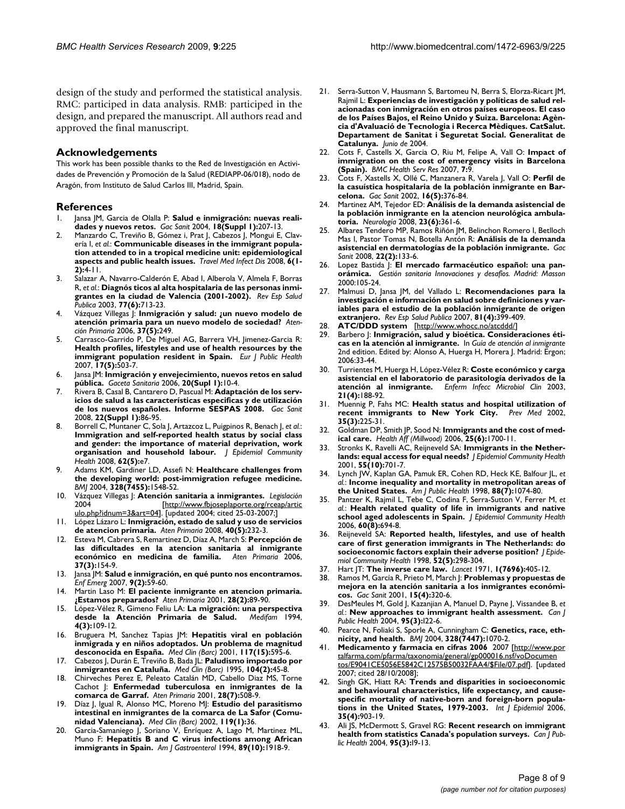design of the study and performed the statistical analysis. RMC: participed in data analysis. RMB: participed in the design, and prepared the manuscript. All authors read and approved the final manuscript.

#### **Acknowledgements**

This work has been possible thanks to the Red de Investigación en Actividades de Prevención y Promoción de la Salud (REDIAPP-06/018), nodo de Aragón, from Instituto de Salud Carlos III, Madrid, Spain.

#### **References**

- <span id="page-7-0"></span>1. Jansa JM, Garcia de Olalla P: **[Salud e inmigración: nuevas reali](http://www.ncbi.nlm.nih.gov/entrez/query.fcgi?cmd=Retrieve&db=PubMed&dopt=Abstract&list_uids=15171881)[dades y nuevos retos.](http://www.ncbi.nlm.nih.gov/entrez/query.fcgi?cmd=Retrieve&db=PubMed&dopt=Abstract&list_uids=15171881)** *Gac Sanit* 2004, **18(Suppl 1):**207-13.
- <span id="page-7-9"></span>2. Manzardo C, Treviño B, Gómez i, Prat J, Cabezos J, Mongui E, Clavería I, *et al.*: **[Communicable diseases in the immigrant popula](http://www.ncbi.nlm.nih.gov/entrez/query.fcgi?cmd=Retrieve&db=PubMed&dopt=Abstract&list_uids=18342267)[tion attended to in a tropical medicine unit: epidemiological](http://www.ncbi.nlm.nih.gov/entrez/query.fcgi?cmd=Retrieve&db=PubMed&dopt=Abstract&list_uids=18342267) [aspects and public health issues.](http://www.ncbi.nlm.nih.gov/entrez/query.fcgi?cmd=Retrieve&db=PubMed&dopt=Abstract&list_uids=18342267)** *Travel Med Infect Dis* 2008, **6(1- 2):**4-11.
- <span id="page-7-10"></span>3. Salazar A, Navarro-Calderón E, Abad I, Alberola V, Almela F, Borras R, *et al.*: **[Diagnós ticos al alta hospitalaria de las personas inmi](http://www.ncbi.nlm.nih.gov/entrez/query.fcgi?cmd=Retrieve&db=PubMed&dopt=Abstract&list_uids=14965063)[grantes en la ciudad de Valencia \(2001-2002\).](http://www.ncbi.nlm.nih.gov/entrez/query.fcgi?cmd=Retrieve&db=PubMed&dopt=Abstract&list_uids=14965063)** *Rev Esp Salud Publica* 2003, **77(6):**713-23.
- <span id="page-7-1"></span>4. Vázquez Villegas J: **Inmigración y salud: ¿un nuevo modelo de atención primaria para un nuevo modelo de sociedad?** *Atención Primaria* 2006, **37(5):**249.
- <span id="page-7-4"></span>5. Carrasco-Garrido P, De Miguel AG, Barrera VH, Jimenez-Garcia R: **[Health profiles, lifestyles and use of health resources by the](http://www.ncbi.nlm.nih.gov/entrez/query.fcgi?cmd=Retrieve&db=PubMed&dopt=Abstract&list_uids=17251304) [immigrant population resident in Spain.](http://www.ncbi.nlm.nih.gov/entrez/query.fcgi?cmd=Retrieve&db=PubMed&dopt=Abstract&list_uids=17251304)** *Eur J Public Health* 2007, **17(5):**503-7.
- 6. Jansa JM: **[Inmigración y envejecimiento, nuevos retos en salud](http://www.ncbi.nlm.nih.gov/entrez/query.fcgi?cmd=Retrieve&db=PubMed&dopt=Abstract&list_uids=16539960) [pública.](http://www.ncbi.nlm.nih.gov/entrez/query.fcgi?cmd=Retrieve&db=PubMed&dopt=Abstract&list_uids=16539960)** *Gaceta Sanitaria* 2006, **20(Supl 1):**10-4.
- <span id="page-7-5"></span>7. Rivera B, Casal B, Cantarero D, Pascual M: **[Adaptación de los serv](http://www.ncbi.nlm.nih.gov/entrez/query.fcgi?cmd=Retrieve&db=PubMed&dopt=Abstract&list_uids=18405557)[icios de salud a las características especificas y de utilización](http://www.ncbi.nlm.nih.gov/entrez/query.fcgi?cmd=Retrieve&db=PubMed&dopt=Abstract&list_uids=18405557) [de los nuevos españoles. Informe SESPAS 2008.](http://www.ncbi.nlm.nih.gov/entrez/query.fcgi?cmd=Retrieve&db=PubMed&dopt=Abstract&list_uids=18405557)** *Gac Sanit* 2008, **22(Suppl 1):**86-95.
- 8. Borrell C, Muntaner C, Sola J, Artazcoz L, Puigpinos R, Benach J, *et al.*: **[Immigration and self-reported health status by social class](http://www.ncbi.nlm.nih.gov/entrez/query.fcgi?cmd=Retrieve&db=PubMed&dopt=Abstract&list_uids=18431832) and gender: the importance of material deprivation, work [organisation and household labour.](http://www.ncbi.nlm.nih.gov/entrez/query.fcgi?cmd=Retrieve&db=PubMed&dopt=Abstract&list_uids=18431832)** *J Epidemiol Community Health* 2008, **62(5):**e7.
- <span id="page-7-2"></span>9. Adams KM, Gardiner LD, Assefi N: **[Healthcare challenges from](http://www.ncbi.nlm.nih.gov/entrez/query.fcgi?cmd=Retrieve&db=PubMed&dopt=Abstract&list_uids=15217874) [the developing world: post-immigration refugee medicine.](http://www.ncbi.nlm.nih.gov/entrez/query.fcgi?cmd=Retrieve&db=PubMed&dopt=Abstract&list_uids=15217874)** *BMJ* 2004, **328(7455):**1548-52.
- <span id="page-7-3"></span>10. Vázquez Villegas J: **Atención sanitaria a inmigrantes.** *Legislación* [[http://www.fbjoseplaporte.org/rceap/artic](http://www.fbjoseplaporte.org/rceap/articulo.php?idnum=3&art=04) [ulo.php?idnum=3&art=04](http://www.fbjoseplaporte.org/rceap/articulo.php?idnum=3&art=04)]. [updated 2004; cited 25-03-2007;]
- <span id="page-7-6"></span>11. López Lázaro L: **[Inmigración, estado de salud y uso de servicios](http://www.ncbi.nlm.nih.gov/entrez/query.fcgi?cmd=Retrieve&db=PubMed&dopt=Abstract&list_uids=18482541) [de atencion primaria.](http://www.ncbi.nlm.nih.gov/entrez/query.fcgi?cmd=Retrieve&db=PubMed&dopt=Abstract&list_uids=18482541)** *Aten Primaria* 2008, **40(5):**232-3.
- <span id="page-7-7"></span>12. Esteva M, Cabrera S, Remartinez D, Díaz A, March S: **[Percepción de](http://www.ncbi.nlm.nih.gov/entrez/query.fcgi?cmd=Retrieve&db=PubMed&dopt=Abstract&list_uids=16527136) [las dificultades en la atencion sanitaria al inmigrante](http://www.ncbi.nlm.nih.gov/entrez/query.fcgi?cmd=Retrieve&db=PubMed&dopt=Abstract&list_uids=16527136) [económico en medicina de familia.](http://www.ncbi.nlm.nih.gov/entrez/query.fcgi?cmd=Retrieve&db=PubMed&dopt=Abstract&list_uids=16527136)** *Aten Primaria* 2006, **37(3):**154-9.
- 13. Jansa JM: **Salud e inmigración, en qué punto nos encontramos.** *Enf Emerg* 2007, **9(2):**59-60.
- 14. Martin Laso M: **[El paciente inmigrante en atencion primaria.](http://www.ncbi.nlm.nih.gov/entrez/query.fcgi?cmd=Retrieve&db=PubMed&dopt=Abstract&list_uids=11440644) [¿Estamos preparados?](http://www.ncbi.nlm.nih.gov/entrez/query.fcgi?cmd=Retrieve&db=PubMed&dopt=Abstract&list_uids=11440644)** *Aten Primaria* 2001, **28(2):**89-90.
- <span id="page-7-8"></span>15. López-Vélez R, Gimeno Feliu LA: **La migración: una perspectiva desde la Atención Primaria de Salud.** *Medifam* 1994, **4(3):**109-12.
- <span id="page-7-11"></span>16. Bruguera M, Sanchez Tapias JM: **[Hepatitis viral en población](http://www.ncbi.nlm.nih.gov/entrez/query.fcgi?cmd=Retrieve&db=PubMed&dopt=Abstract&list_uids=11714458) [inmigrada y en niños adoptados. Un problema de magnitud](http://www.ncbi.nlm.nih.gov/entrez/query.fcgi?cmd=Retrieve&db=PubMed&dopt=Abstract&list_uids=11714458) [desconocida en España.](http://www.ncbi.nlm.nih.gov/entrez/query.fcgi?cmd=Retrieve&db=PubMed&dopt=Abstract&list_uids=11714458)** *Med Clin (Barc)* 2001, **117(15):**595-6.
- 17. Cabezos J, Durán E, Treviño B, Bada JL: **[Paludismo importado por](http://www.ncbi.nlm.nih.gov/entrez/query.fcgi?cmd=Retrieve&db=PubMed&dopt=Abstract&list_uids=7869778) [inmigrantes en Cataluña.](http://www.ncbi.nlm.nih.gov/entrez/query.fcgi?cmd=Retrieve&db=PubMed&dopt=Abstract&list_uids=7869778)** *Med Clin (Barc)* 1995, **104(2):**45-8.
- 18. Chirveches Perez E, Peleato Catalán MD, Cabello Diaz MS, Torne Cachot J: **[Enfermedad tuberculosa en inmigrantes de la](http://www.ncbi.nlm.nih.gov/entrez/query.fcgi?cmd=Retrieve&db=PubMed&dopt=Abstract&list_uids=11718650) [comarca de Garraf.](http://www.ncbi.nlm.nih.gov/entrez/query.fcgi?cmd=Retrieve&db=PubMed&dopt=Abstract&list_uids=11718650)** *Aten Primaria* 2001, **28(7):**508-9.
- 19. Díaz J, Igual R, Alonso MC, Moreno MJ: **Estudio del parasitismo intestinal en inmigrantes de la comarca de La Safor (Comunidad Valenciana).** *Med Clin (Barc)* 2002, **119(1):**36.
- <span id="page-7-12"></span>Garcia-Samaniego J, Soriano V, Enríquez A, Lago M, Martinez ML, Muno F: **[Hepatitis B and C virus infections among African](http://www.ncbi.nlm.nih.gov/entrez/query.fcgi?cmd=Retrieve&db=PubMed&dopt=Abstract&list_uids=7942709) [immigrants in Spain.](http://www.ncbi.nlm.nih.gov/entrez/query.fcgi?cmd=Retrieve&db=PubMed&dopt=Abstract&list_uids=7942709)** *Am J Gastroenterol* 1994, **89(10):**1918-9.
- <span id="page-7-13"></span>21. Serra-Sutton V, Hausmann S, Bartomeu N, Berra S, Elorza-Ricart JM, Rajmil L: **Experiencias de investigación y políticas de salud relacionadas con inmigración en otros países europeos. El caso de los Países Bajos, el Reino Unido y Suiza. Barcelona: Agència d'Avaluació de Tecnologia i Recerca Mèdiques. CatSalut. Departament de Sanitat i Seguretat Social. Generalitat de Catalunya.** *Junio de* 2004.
- <span id="page-7-19"></span>22. Cots F, Castells X, Garcia O, Riu M, Felipe A, Vall O: **[Impact of](http://www.ncbi.nlm.nih.gov/entrez/query.fcgi?cmd=Retrieve&db=PubMed&dopt=Abstract&list_uids=17239236) [immigration on the cost of emergency visits in Barcelona](http://www.ncbi.nlm.nih.gov/entrez/query.fcgi?cmd=Retrieve&db=PubMed&dopt=Abstract&list_uids=17239236) [\(Spain\).](http://www.ncbi.nlm.nih.gov/entrez/query.fcgi?cmd=Retrieve&db=PubMed&dopt=Abstract&list_uids=17239236)** *BMC Health Serv Res* 2007, **7:**9.
- 23. Cots F, Xastells X, Ollé C, Manzanera R, Varela J, Vall O: **[Perfil de](http://www.ncbi.nlm.nih.gov/entrez/query.fcgi?cmd=Retrieve&db=PubMed&dopt=Abstract&list_uids=12372182) [la casuística hospitalaria de la población inmigrante en Bar](http://www.ncbi.nlm.nih.gov/entrez/query.fcgi?cmd=Retrieve&db=PubMed&dopt=Abstract&list_uids=12372182)[celona.](http://www.ncbi.nlm.nih.gov/entrez/query.fcgi?cmd=Retrieve&db=PubMed&dopt=Abstract&list_uids=12372182)** *Gac Sanit* 2002, **16(5):**376-84.
- 24. Martinez AM, Tejedor ED: **Análisis de la demanda asistencial de la población inmigrante en la atencion neurológica ambulatoria.** *Neurología* 2008, **23(6):**361-6.
- <span id="page-7-14"></span>Albares Tendero MP, Ramos Riñón JM, Belinchon Romero I, Betlloch Mas I, Pastor Tomas N, Botella Antón R: **[Análisis de la demanda](http://www.ncbi.nlm.nih.gov/entrez/query.fcgi?cmd=Retrieve&db=PubMed&dopt=Abstract&list_uids=18420011) [asistencial en dermatologías de la población inmigrante.](http://www.ncbi.nlm.nih.gov/entrez/query.fcgi?cmd=Retrieve&db=PubMed&dopt=Abstract&list_uids=18420011)** *Gac Sanit* 2008, **22(2):**133-6.
- <span id="page-7-15"></span>26. Lopez Bastida J: **El mercado farmacéutico español: una panorámica.** *Gestión sanitaria Innovaciones y desafíos. Madrid: Masson* 2000:105-24.
- <span id="page-7-16"></span>27. Malmusi D, Jansa JM, del Vallado L: **[Recomendaciones para la](http://www.ncbi.nlm.nih.gov/entrez/query.fcgi?cmd=Retrieve&db=PubMed&dopt=Abstract&list_uids=18041542) [investigación e información en salud sobre definiciones y var](http://www.ncbi.nlm.nih.gov/entrez/query.fcgi?cmd=Retrieve&db=PubMed&dopt=Abstract&list_uids=18041542)iables para el estudio de la población inmigrante de origen [extranjero.](http://www.ncbi.nlm.nih.gov/entrez/query.fcgi?cmd=Retrieve&db=PubMed&dopt=Abstract&list_uids=18041542)** *Rev Esp Salud Publica* 2007, **81(4):**399-409.
- <span id="page-7-17"></span>28. **ATC/DDD system** [[http://www.whocc.no/atcddd/\]](http://www.whocc.no/atcddd/)
- <span id="page-7-18"></span>29. Barbero J: **Inmigración, salud y bioética. Consideraciones éticas en la atención al inmigrante.** In *Guía de atención al inmigrante* 2nd edition. Edited by: Alonso A, Huerga H, Morera J. Madrid: Ergon; 2006:33-44.
- <span id="page-7-20"></span>30. Turrientes M, Huerga H, López-Vélez R: **[Coste económico y carga](http://www.ncbi.nlm.nih.gov/entrez/query.fcgi?cmd=Retrieve&db=PubMed&dopt=Abstract&list_uids=12681130) [asistencial en el laboratorio de parasitología derivados de la](http://www.ncbi.nlm.nih.gov/entrez/query.fcgi?cmd=Retrieve&db=PubMed&dopt=Abstract&list_uids=12681130) [atención al inmigrante.](http://www.ncbi.nlm.nih.gov/entrez/query.fcgi?cmd=Retrieve&db=PubMed&dopt=Abstract&list_uids=12681130)** *Enferm Infecc Microbiol Clin* 2003, **21(4):**188-92.
- 31. Muennig P, Fahs MC: **[Health status and hospital utilization of](http://www.ncbi.nlm.nih.gov/entrez/query.fcgi?cmd=Retrieve&db=PubMed&dopt=Abstract&list_uids=12202064) [recent immigrants to New York City.](http://www.ncbi.nlm.nih.gov/entrez/query.fcgi?cmd=Retrieve&db=PubMed&dopt=Abstract&list_uids=12202064)** *Prev Med* 2002, **35(3):**225-31.
- <span id="page-7-26"></span>32. Goldman DP, Smith JP, Sood N: **[Immigrants and the cost of med](http://www.ncbi.nlm.nih.gov/entrez/query.fcgi?cmd=Retrieve&db=PubMed&dopt=Abstract&list_uids=17102196)[ical care.](http://www.ncbi.nlm.nih.gov/entrez/query.fcgi?cmd=Retrieve&db=PubMed&dopt=Abstract&list_uids=17102196)** *Health Aff (Millwood)* 2006, **25(6):**1700-11.
- <span id="page-7-21"></span>33. Stronks K, Ravelli AC, Reijneveld SA: **[Immigrants in the Nether](http://www.ncbi.nlm.nih.gov/entrez/query.fcgi?cmd=Retrieve&db=PubMed&dopt=Abstract&list_uids=11553652)[lands: equal access for equal needs?](http://www.ncbi.nlm.nih.gov/entrez/query.fcgi?cmd=Retrieve&db=PubMed&dopt=Abstract&list_uids=11553652)** *J Epidemiol Community Health* 2001, **55(10):**701-7.
- <span id="page-7-22"></span>34. Lynch JW, Kaplan GA, Pamuk ER, Cohen RD, Heck KE, Balfour JL, *et al.*: **[Income inequality and mortality in metropolitan areas of](http://www.ncbi.nlm.nih.gov/entrez/query.fcgi?cmd=Retrieve&db=PubMed&dopt=Abstract&list_uids=9663157) [the United States.](http://www.ncbi.nlm.nih.gov/entrez/query.fcgi?cmd=Retrieve&db=PubMed&dopt=Abstract&list_uids=9663157)** *Am J Public Health* 1998, **88(7):**1074-80.
- 35. Pantzer K, Rajmil L, Tebe C, Codina F, Serra-Sutton V, Ferrer M, *et al.*: **[Health related quality of life in immigrants and native](http://www.ncbi.nlm.nih.gov/entrez/query.fcgi?cmd=Retrieve&db=PubMed&dopt=Abstract&list_uids=16840759) [school aged adolescents in Spain.](http://www.ncbi.nlm.nih.gov/entrez/query.fcgi?cmd=Retrieve&db=PubMed&dopt=Abstract&list_uids=16840759)** *J Epidemiol Community Health* 2006, **60(8):**694-8.
- <span id="page-7-23"></span>36. Reijneveld SA: **[Reported health, lifestyles, and use of health](http://www.ncbi.nlm.nih.gov/entrez/query.fcgi?cmd=Retrieve&db=PubMed&dopt=Abstract&list_uids=9764280) [care of first generation immigrants in The Netherlands: do](http://www.ncbi.nlm.nih.gov/entrez/query.fcgi?cmd=Retrieve&db=PubMed&dopt=Abstract&list_uids=9764280) [socioeconomic factors explain their adverse position?](http://www.ncbi.nlm.nih.gov/entrez/query.fcgi?cmd=Retrieve&db=PubMed&dopt=Abstract&list_uids=9764280)** *J Epidemiol Community Health* 1998, **52(5):**298-304.
- <span id="page-7-24"></span>37. Hart JT: **[The inverse care law.](http://www.ncbi.nlm.nih.gov/entrez/query.fcgi?cmd=Retrieve&db=PubMed&dopt=Abstract&list_uids=4100731)** *Lancet* 1971, **1(7696):**405-12.
- <span id="page-7-25"></span>38. Ramos M, García R, Prieto M, March J: **[Problemas y propuestas de](http://www.ncbi.nlm.nih.gov/entrez/query.fcgi?cmd=Retrieve&db=PubMed&dopt=Abstract&list_uids=11578561) [mejora en la atención sanitaria a los inmigrantes económi](http://www.ncbi.nlm.nih.gov/entrez/query.fcgi?cmd=Retrieve&db=PubMed&dopt=Abstract&list_uids=11578561)[cos.](http://www.ncbi.nlm.nih.gov/entrez/query.fcgi?cmd=Retrieve&db=PubMed&dopt=Abstract&list_uids=11578561)** *Gac Sanit* 2001, **15(4):**320-6.
- <span id="page-7-27"></span>39. DesMeules M, Gold J, Kazanjian A, Manuel D, Payne J, Vissandee B, *et al.*: **[New approaches to immigrant health assessment.](http://www.ncbi.nlm.nih.gov/entrez/query.fcgi?cmd=Retrieve&db=PubMed&dopt=Abstract&list_uids=15191128)** *Can J Public Health* 2004, **95(3):**I22-6.
- <span id="page-7-28"></span>Pearce N, Foliaki S, Sporle A, Cunningham C: [Genetics, race, eth](http://www.ncbi.nlm.nih.gov/entrez/query.fcgi?cmd=Retrieve&db=PubMed&dopt=Abstract&list_uids=15117796)**[nicity, and health.](http://www.ncbi.nlm.nih.gov/entrez/query.fcgi?cmd=Retrieve&db=PubMed&dopt=Abstract&list_uids=15117796)** *BMJ* 2004, **328(7447):**1070-2.
- <span id="page-7-29"></span>41. **Medicamento y farmacia en cifras 2006** 2007 [[http://www.por](http://www.portalfarma.com/pfarma/taxonomia/general/gp000016.nsf/voDocumentos/E9041CE5056E5842C12575B50032FAA4/$File/07.pdf) [talfarma.com/pfarma/taxonomia/general/gp000016.nsf/voDocumen](http://www.portalfarma.com/pfarma/taxonomia/general/gp000016.nsf/voDocumentos/E9041CE5056E5842C12575B50032FAA4/$File/07.pdf) [tos/E9041CE5056E5842C12575B50032FAA4/\\$File/07.pdf](http://www.portalfarma.com/pfarma/taxonomia/general/gp000016.nsf/voDocumentos/E9041CE5056E5842C12575B50032FAA4/$File/07.pdf)]. [updated 2007; cited 28/10/2008];
- <span id="page-7-30"></span>42. Singh GK, Hiatt RA: **[Trends and disparities in socioeconomic](http://www.ncbi.nlm.nih.gov/entrez/query.fcgi?cmd=Retrieve&db=PubMed&dopt=Abstract&list_uids=16709619) [and behavioural characteristics, life expectancy, and cause](http://www.ncbi.nlm.nih.gov/entrez/query.fcgi?cmd=Retrieve&db=PubMed&dopt=Abstract&list_uids=16709619)specific mortality of native-born and foreign-born popula[tions in the United States, 1979-2003.](http://www.ncbi.nlm.nih.gov/entrez/query.fcgi?cmd=Retrieve&db=PubMed&dopt=Abstract&list_uids=16709619)** *Int J Epidemiol* 2006, **35(4):**903-19.
- 43. Ali JS, McDermott S, Gravel RG: **[Recent research on immigrant](http://www.ncbi.nlm.nih.gov/entrez/query.fcgi?cmd=Retrieve&db=PubMed&dopt=Abstract&list_uids=15191126) [health from statistics Canada's population surveys.](http://www.ncbi.nlm.nih.gov/entrez/query.fcgi?cmd=Retrieve&db=PubMed&dopt=Abstract&list_uids=15191126)** *Can J Public Health* 2004, **95(3):**I9-13.